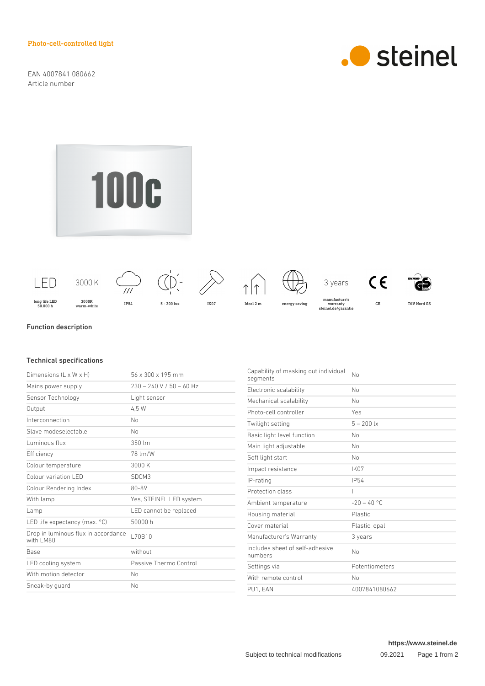Photo-cell-controlled light

EAN 4007841 080662 Article number



**100c** 



## Function description

## Technical specifications

| 56 x 300 x 195 mm          |
|----------------------------|
| $230 - 240$ V / 50 - 60 Hz |
| Light sensor               |
| 4.5 W                      |
| No                         |
| No                         |
| $350 \, \text{Im}$         |
| 78 Im/W                    |
| 3000 K                     |
| SDCM3                      |
| 80-89                      |
| Yes, STEINEL LED system    |
| LED cannot be replaced     |
| 50000 h                    |
| L70B10                     |
| without                    |
| Passive Thermo Control     |
| No                         |
| No                         |
|                            |

Capability of masking out individual No<br>segments Electronic scalability Mo Mechanical scalability Mo Photo-cell controller Yes Twilight setting 5 – 200 lx Basic light level function No Main light adjustable No Soft light start No Impact resistance IK07 IP-rating IP54 Protection class II Ambient temperature  $-20 - 40$  °C Housing material **Plastic** Cover material example and Plastic, opal Manufacturer's Warranty 3 years includes sheet of self-adhesive numbers No Settings via **Potentiometers** With remote control No PU1, EAN 4007841080662